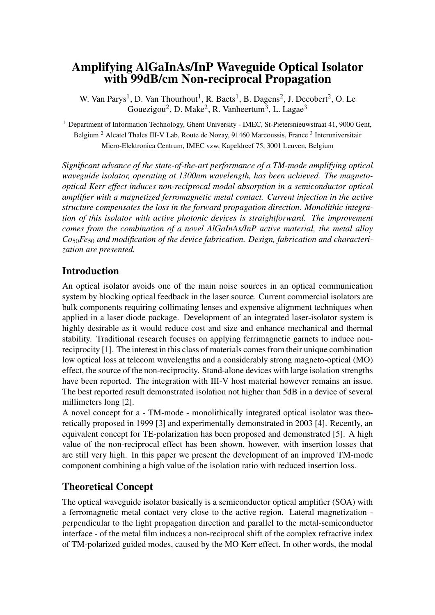# Amplifying AlGaInAs/InP Waveguide Optical Isolator with 99dB/cm Non-reciprocal Propagation

W. Van Parys<sup>1</sup>, D. Van Thourhout<sup>1</sup>, R. Baets<sup>1</sup>, B. Dagens<sup>2</sup>, J. Decobert<sup>2</sup>, O. Le Gouezigou<sup>2</sup>, D. Make<sup>2</sup>, R. Vanheertum<sup>3</sup>, L. Lagae<sup>3</sup>

<sup>1</sup> Department of Information Technology, Ghent University - IMEC, St-Pietersnieuwstraat 41, 9000 Gent, Belgium<sup>2</sup> Alcatel Thales III-V Lab, Route de Nozay, 91460 Marcoussis, France<sup>3</sup> Interuniversitair Micro-Elektronica Centrum, IMEC vzw, Kapeldreef 75, 3001 Leuven, Belgium

*Significant advance of the state-of-the-art performance of a TM-mode amplifying optical waveguide isolator, operating at 1300nm wavelength, has been achieved. The magnetooptical Kerr effect induces non-reciprocal modal absorption in a semiconductor optical amplifier with a magnetized ferromagnetic metal contact. Current injection in the active structure compensates the loss in the forward propagation direction. Monolithic integration of this isolator with active photonic devices is straightforward. The improvement comes from the combination of a novel AlGaInAs/InP active material, the metal alloy Co*50*Fe*<sup>50</sup> *and modification of the device fabrication. Design, fabrication and characterization are presented.*

## Introduction

An optical isolator avoids one of the main noise sources in an optical communication system by blocking optical feedback in the laser source. Current commercial isolators are bulk components requiring collimating lenses and expensive alignment techniques when applied in a laser diode package. Development of an integrated laser-isolator system is highly desirable as it would reduce cost and size and enhance mechanical and thermal stability. Traditional research focuses on applying ferrimagnetic garnets to induce nonreciprocity [1]. The interest in this class of materials comes from their unique combination low optical loss at telecom wavelengths and a considerably strong magneto-optical (MO) effect, the source of the non-reciprocity. Stand-alone devices with large isolation strengths have been reported. The integration with III-V host material however remains an issue. The best reported result demonstrated isolation not higher than 5dB in a device of several millimeters long [2].

A novel concept for a - TM-mode - monolithically integrated optical isolator was theoretically proposed in 1999 [3] and experimentally demonstrated in 2003 [4]. Recently, an equivalent concept for TE-polarization has been proposed and demonstrated [5]. A high value of the non-reciprocal effect has been shown, however, with insertion losses that are still very high. In this paper we present the development of an improved TM-mode component combining a high value of the isolation ratio with reduced insertion loss.

## Theoretical Concept

The optical waveguide isolator basically is a semiconductor optical amplifier (SOA) with a ferromagnetic metal contact very close to the active region. Lateral magnetization perpendicular to the light propagation direction and parallel to the metal-semiconductor interface - of the metal film induces a non-reciprocal shift of the complex refractive index of TM-polarized guided modes, caused by the MO Kerr effect. In other words, the modal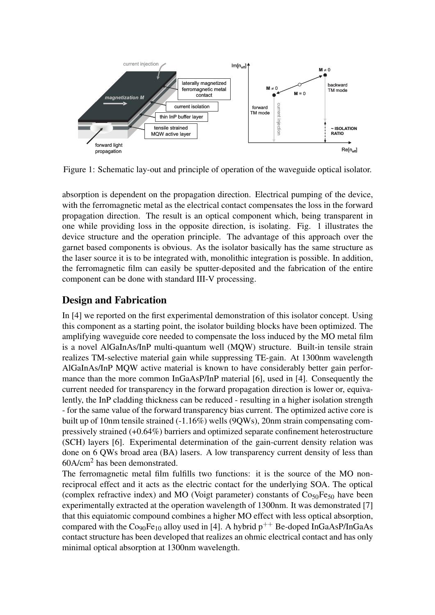

Figure 1: Schematic lay-out and principle of operation of the waveguide optical isolator.

absorption is dependent on the propagation direction. Electrical pumping of the device, with the ferromagnetic metal as the electrical contact compensates the loss in the forward propagation direction. The result is an optical component which, being transparent in one while providing loss in the opposite direction, is isolating. Fig. 1 illustrates the device structure and the operation principle. The advantage of this approach over the garnet based components is obvious. As the isolator basically has the same structure as the laser source it is to be integrated with, monolithic integration is possible. In addition, the ferromagnetic film can easily be sputter-deposited and the fabrication of the entire component can be done with standard III-V processing.

### Design and Fabrication

In [4] we reported on the first experimental demonstration of this isolator concept. Using this component as a starting point, the isolator building blocks have been optimized. The amplifying waveguide core needed to compensate the loss induced by the MO metal film is a novel AlGaInAs/InP multi-quantum well (MQW) structure. Built-in tensile strain realizes TM-selective material gain while suppressing TE-gain. At 1300nm wavelength AlGaInAs/InP MQW active material is known to have considerably better gain performance than the more common InGaAsP/InP material [6], used in [4]. Consequently the current needed for transparency in the forward propagation direction is lower or, equivalently, the InP cladding thickness can be reduced - resulting in a higher isolation strength - for the same value of the forward transparency bias current. The optimized active core is built up of 10nm tensile strained (-1.16%) wells (9QWs), 20nm strain compensating compressively strained (+0.64%) barriers and optimized separate confinement heterostructure (SCH) layers [6]. Experimental determination of the gain-current density relation was done on 6 QWs broad area (BA) lasers. A low transparency current density of less than 60A/cm<sup>2</sup> has been demonstrated.

The ferromagnetic metal film fulfills two functions: it is the source of the MO nonreciprocal effect and it acts as the electric contact for the underlying SOA. The optical (complex refractive index) and MO (Voigt parameter) constants of  $Co<sub>50</sub>Fe<sub>50</sub>$  have been experimentally extracted at the operation wavelength of 1300nm. It was demonstrated [7] that this equiatomic compound combines a higher MO effect with less optical absorption, compared with the Co<sub>90</sub>Fe<sub>10</sub> alloy used in [4]. A hybrid  $p^{++}$  Be-doped InGaAsP/InGaAs contact structure has been developed that realizes an ohmic electrical contact and has only minimal optical absorption at 1300nm wavelength.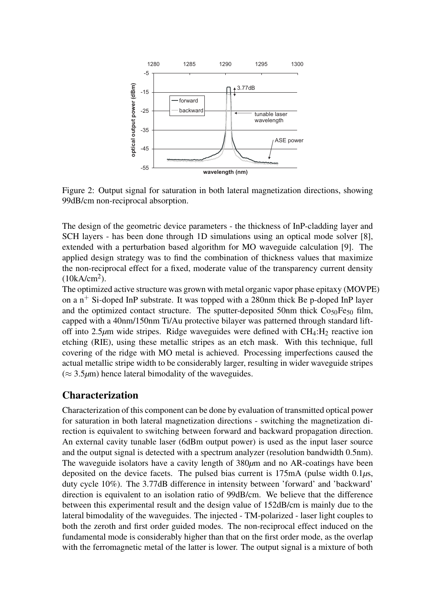

Figure 2: Output signal for saturation in both lateral magnetization directions, showing 99dB/cm non-reciprocal absorption.

The design of the geometric device parameters - the thickness of InP-cladding layer and SCH layers - has been done through 1D simulations using an optical mode solver [8], extended with a perturbation based algorithm for MO waveguide calculation [9]. The applied design strategy was to find the combination of thickness values that maximize the non-reciprocal effect for a fixed, moderate value of the transparency current density  $(10kA/cm<sup>2</sup>)$ .

The optimized active structure was grown with metal organic vapor phase epitaxy (MOVPE) on a  $n^+$  Si-doped InP substrate. It was topped with a 280nm thick Be p-doped InP layer and the optimized contact structure. The sputter-deposited 50nm thick  $Co<sub>50</sub>Fe<sub>50</sub>$  film, capped with a 40nm/150nm Ti/Au protective bilayer was patterned through standard liftoff into 2.5 $\mu$ m wide stripes. Ridge waveguides were defined with CH<sub>4</sub>:H<sub>2</sub> reactive ion etching (RIE), using these metallic stripes as an etch mask. With this technique, full covering of the ridge with MO metal is achieved. Processing imperfections caused the actual metallic stripe width to be considerably larger, resulting in wider waveguide stripes  $(\approx 3.5 \mu m)$  hence lateral bimodality of the waveguides.

#### Characterization

Characterization of this component can be done by evaluation of transmitted optical power for saturation in both lateral magnetization directions - switching the magnetization direction is equivalent to switching between forward and backward propagation direction. An external cavity tunable laser (6dBm output power) is used as the input laser source and the output signal is detected with a spectrum analyzer (resolution bandwidth 0.5nm). The waveguide isolators have a cavity length of 380*µ*m and no AR-coatings have been deposited on the device facets. The pulsed bias current is 175mA (pulse width 0.1*µ*s, duty cycle 10%). The 3.77dB difference in intensity between 'forward' and 'backward' direction is equivalent to an isolation ratio of 99dB/cm. We believe that the difference between this experimental result and the design value of 152dB/cm is mainly due to the lateral bimodality of the waveguides. The injected - TM-polarized - laser light couples to both the zeroth and first order guided modes. The non-reciprocal effect induced on the fundamental mode is considerably higher than that on the first order mode, as the overlap with the ferromagnetic metal of the latter is lower. The output signal is a mixture of both